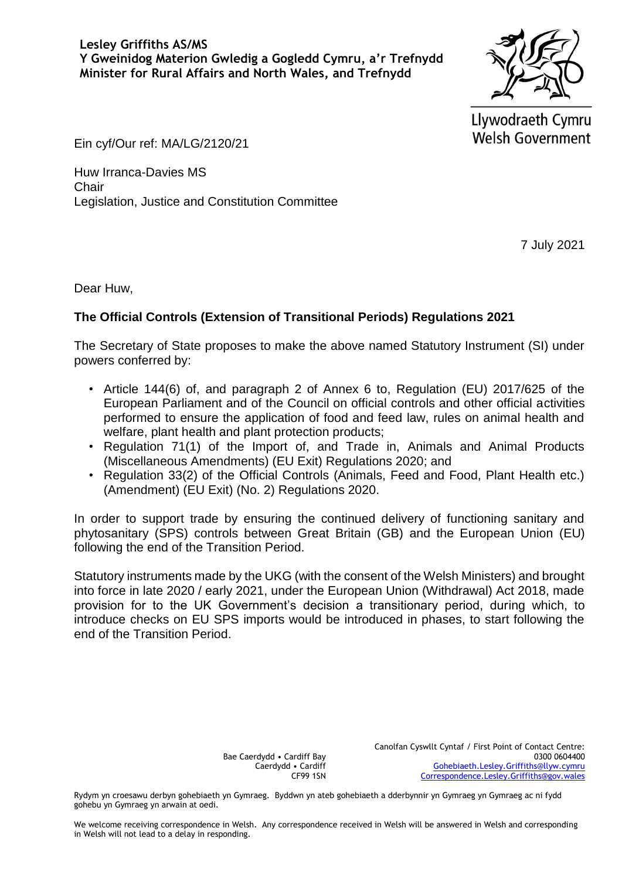Llywodraeth Cymru **Welsh Government** 

Ein cyf/Our ref: MA/LG/2120/21

Huw Irranca-Davies MS **Chair** Legislation, Justice and Constitution Committee

7 July 2021

Dear Huw,

## **The Official Controls (Extension of Transitional Periods) Regulations 2021**

The Secretary of State proposes to make the above named Statutory Instrument (SI) under powers conferred by:

- Article 144(6) of, and paragraph 2 of Annex 6 to, Regulation (EU) 2017/625 of the European Parliament and of the Council on official controls and other official activities performed to ensure the application of food and feed law, rules on animal health and welfare, plant health and plant protection products;
- Regulation 71(1) of the Import of, and Trade in, Animals and Animal Products (Miscellaneous Amendments) (EU Exit) Regulations 2020; and
- Regulation 33(2) of the Official Controls (Animals, Feed and Food, Plant Health etc.) (Amendment) (EU Exit) (No. 2) Regulations 2020.

In order to support trade by ensuring the continued delivery of functioning sanitary and phytosanitary (SPS) controls between Great Britain (GB) and the European Union (EU) following the end of the Transition Period.

Statutory instruments made by the UKG (with the consent of the Welsh Ministers) and brought into force in late 2020 / early 2021, under the European Union (Withdrawal) Act 2018, made provision for to the UK Government's decision a transitionary period, during which, to introduce checks on EU SPS imports would be introduced in phases, to start following the end of the Transition Period.

> Bae Caerdydd • Cardiff Bay Caerdydd • Cardiff CF99 1SN

Rydym yn croesawu derbyn gohebiaeth yn Gymraeg. Byddwn yn ateb gohebiaeth a dderbynnir yn Gymraeg yn Gymraeg ac ni fydd gohebu yn Gymraeg yn arwain at oedi.

We welcome receiving correspondence in Welsh. Any correspondence received in Welsh will be answered in Welsh and corresponding in Welsh will not lead to a delay in responding.